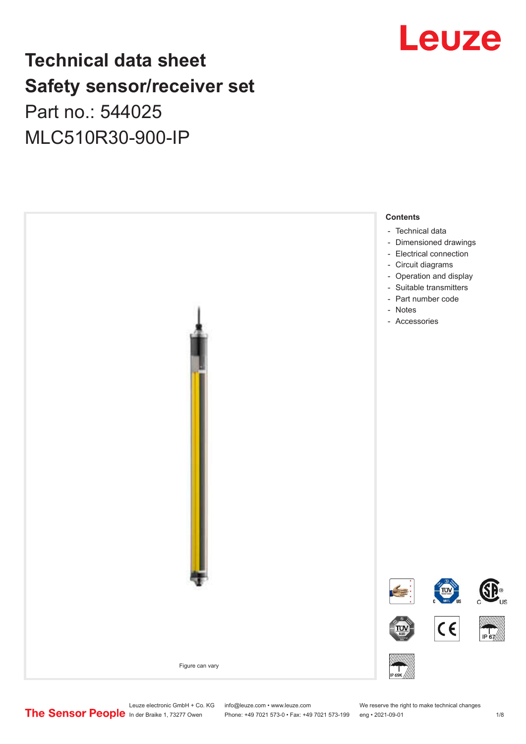## **Technical data sheet Safety sensor/receiver set** Part no.: 544025 MLC510R30-900-IP





Leuze electronic GmbH + Co. KG info@leuze.com • www.leuze.com We reserve the right to make technical changes<br>
The Sensor People in der Braike 1, 73277 Owen Phone: +49 7021 573-0 • Fax: +49 7021 573-199 eng • 2021-09-01

Phone: +49 7021 573-0 • Fax: +49 7021 573-199 eng • 2021-09-01 1 2021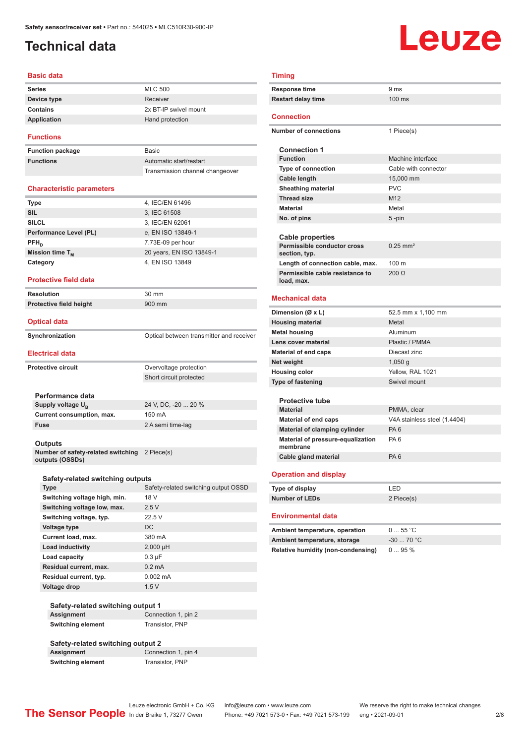## <span id="page-1-0"></span>**Technical data**

## Leuze

#### **Basic data**

| <b>Series</b> | <b>MLC 500</b>        |
|---------------|-----------------------|
| Device type   | Receiver              |
| Contains      | 2x BT-IP swivel mount |
| Application   | Hand protection       |
|               |                       |

#### **Functions**

**Function package** B **Functions** 

| <b>Basic</b>                    |
|---------------------------------|
| Automatic start/restart         |
| Transmission channel changeover |

#### **Characteristic parameters**

| <b>Type</b>            | 4, IEC/EN 61496          |
|------------------------|--------------------------|
| <b>SIL</b>             | 3, IEC 61508             |
| <b>SILCL</b>           | 3, IEC/EN 62061          |
| Performance Level (PL) | e, EN ISO 13849-1        |
| $PFH_{n}$              | 7.73E-09 per hour        |
| Mission time $T_M$     | 20 years, EN ISO 13849-1 |
| Category               | 4, EN ISO 13849          |
|                        |                          |

#### **Protective field data**

**Resolution** 30 mm **Protective field height** 900 mm

#### **Optical data**

| Synchronization | Optical between transmitter and receiver |
|-----------------|------------------------------------------|

#### **Electrical data**

| --------------            |                         |
|---------------------------|-------------------------|
| <b>Protective circuit</b> | Overvoltage protection  |
|                           | Short circuit protected |
|                           |                         |
| Performance data          |                         |
| Supply voltage $U_{B}$    | 24 V, DC, -20  20 %     |
| Current consumption, max. | 150 mA                  |
| Fuse                      | 2 A semi time-lag       |
|                           |                         |
| <b>Outputs</b>            |                         |

**Number of safety-related switching outputs (OSSDs)**

| Safety-related switching outputs |                                      |
|----------------------------------|--------------------------------------|
| <b>Type</b>                      | Safety-related switching output OSSD |
| Switching voltage high, min.     | 18 V                                 |
| Switching voltage low, max.      | 2.5V                                 |
| Switching voltage, typ.          | 22.5V                                |
| Voltage type                     | DC                                   |
| Current load, max.               | 380 mA                               |
| Load inductivity                 | $2,000$ µH                           |
| Load capacity                    | $0.3 \mu F$                          |
| Residual current, max.           | $0.2 \text{ mA}$                     |
| Residual current, typ.           | $0.002 \, \text{mA}$                 |
| Voltage drop                     | 1.5V                                 |

2 Piece(s)

|                          | Safety-related switching output 1 |  |
|--------------------------|-----------------------------------|--|
| Assignment               | Connection 1, pin 2               |  |
| <b>Switching element</b> | Transistor, PNP                   |  |

#### **Safety-related switching output 2 Connection 1, pin 4 Switching element** Transistor, PNP

#### **Timing**

| <b>Timing</b>                             |                               |  |
|-------------------------------------------|-------------------------------|--|
| <b>Response time</b>                      | 9 <sub>ms</sub>               |  |
| <b>Restart delay time</b>                 | 100 ms                        |  |
|                                           |                               |  |
| <b>Connection</b>                         |                               |  |
| <b>Number of connections</b>              | 1 Piece(s)                    |  |
|                                           |                               |  |
| <b>Connection 1</b>                       |                               |  |
| <b>Function</b>                           | Machine interface             |  |
| <b>Type of connection</b>                 | Cable with connector          |  |
| Cable length                              | 15,000 mm                     |  |
| <b>Sheathing material</b>                 | <b>PVC</b><br>M <sub>12</sub> |  |
| <b>Thread size</b><br><b>Material</b>     |                               |  |
|                                           | Metal                         |  |
| No. of pins                               | $5 - pin$                     |  |
| <b>Cable properties</b>                   |                               |  |
| Permissible conductor cross               | $0.25$ mm <sup>2</sup>        |  |
| section, typ.                             |                               |  |
| Length of connection cable, max.          | 100 <sub>m</sub>              |  |
| Permissible cable resistance to           | $200 \Omega$                  |  |
| load, max.                                |                               |  |
| <b>Mechanical data</b>                    |                               |  |
|                                           |                               |  |
| Dimension (Ø x L)                         | 52.5 mm x 1,100 mm            |  |
| <b>Housing material</b>                   | Metal                         |  |
| <b>Metal housing</b>                      | Aluminum                      |  |
| Lens cover material                       | Plastic / PMMA                |  |
| <b>Material of end caps</b>               | Diecast zinc                  |  |
| Net weight                                | $1,050$ g                     |  |
| <b>Housing color</b>                      | Yellow, RAL 1021              |  |
| <b>Type of fastening</b>                  | Swivel mount                  |  |
| <b>Protective tube</b>                    |                               |  |
| <b>Material</b>                           | PMMA, clear                   |  |
| <b>Material of end caps</b>               | V4A stainless steel (1.4404)  |  |
| Material of clamping cylinder             | PA <sub>6</sub>               |  |
| Material of pressure-equalization         | PA <sub>6</sub>               |  |
| membrane                                  |                               |  |
| Cable gland material                      | PA <sub>6</sub>               |  |
|                                           |                               |  |
| <b>Operation and display</b>              |                               |  |
| Type of display                           | LED                           |  |
| <b>Number of LEDs</b>                     | 2 Piece(s)                    |  |
|                                           |                               |  |
| <b>Environmental data</b>                 |                               |  |
| Ambient temperature, operation            | 055 °C                        |  |
| Ambient temperature, storage              | $-3070 °C$                    |  |
| <b>Relative humidity (non-condensing)</b> | 095%                          |  |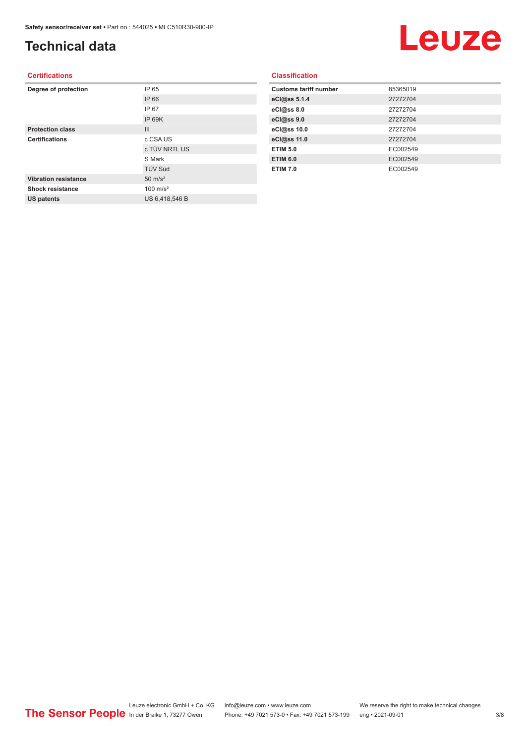## **Technical data**

## Leuze

#### **Certifications**

| Degree of protection        | IP 65               |
|-----------------------------|---------------------|
|                             | IP 66               |
|                             | IP 67               |
|                             | IP 69K              |
| <b>Protection class</b>     | III                 |
| <b>Certifications</b>       | c CSA US            |
|                             | c TÜV NRTL US       |
|                             | S Mark              |
|                             | <b>TÜV Süd</b>      |
| <b>Vibration resistance</b> | $50 \text{ m/s}^2$  |
| Shock resistance            | $100 \text{ m/s}^2$ |
| <b>US patents</b>           | US 6,418,546 B      |
|                             |                     |

#### **Classification**

| <b>Customs tariff number</b> | 85365019 |
|------------------------------|----------|
| eCl@ss 5.1.4                 | 27272704 |
| eCl@ss 8.0                   | 27272704 |
| eCl@ss 9.0                   | 27272704 |
| eCl@ss 10.0                  | 27272704 |
| eCl@ss 11.0                  | 27272704 |
| <b>ETIM 5.0</b>              | EC002549 |
| <b>ETIM 6.0</b>              | EC002549 |
| <b>ETIM 7.0</b>              | EC002549 |
|                              |          |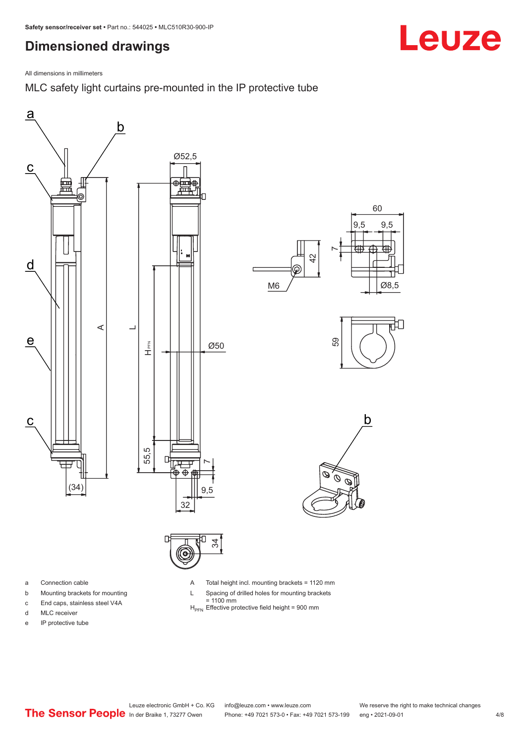## <span id="page-3-0"></span>**Dimensioned drawings**

All dimensions in millimeters

MLC safety light curtains pre-mounted in the IP protective tube





- a Connection cable
- b Mounting brackets for mounting
- c End caps, stainless steel V4A
- d MLC receiver
- e IP protective tube

A Total height incl. mounting brackets = 1120 mm

- L Spacing of drilled holes for mounting brackets
	-
- = 1100 mm<br>H<sub>PFN</sub> Effective protective field height = 900 mm

Leuze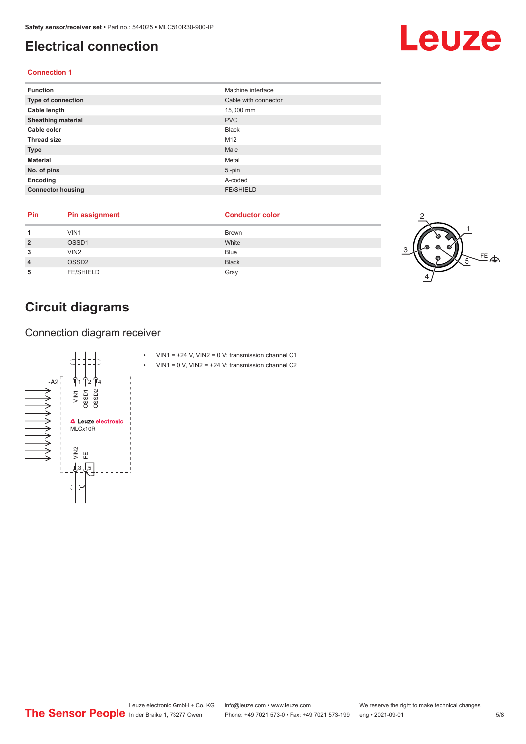## <span id="page-4-0"></span>**Electrical connection**

#### **Connection 1**

| <b>Function</b>           | Machine interface    |
|---------------------------|----------------------|
| Type of connection        | Cable with connector |
| Cable length              | 15,000 mm            |
| <b>Sheathing material</b> | <b>PVC</b>           |
| Cable color               | <b>Black</b>         |
| <b>Thread size</b>        | M12                  |
| <b>Type</b>               | Male                 |
| <b>Material</b>           | Metal                |
| No. of pins               | $5$ -pin             |
| Encoding                  | A-coded              |
| <b>Connector housing</b>  | <b>FE/SHIELD</b>     |

| Pin | <b>Pin assignment</b> | <b>Conductor color</b> |                   |
|-----|-----------------------|------------------------|-------------------|
|     | VIN1                  | <b>Brown</b>           |                   |
|     | OSSD1                 | White                  | m                 |
|     | VIN <sub>2</sub>      | <b>Blue</b>            | $E = \frac{1}{2}$ |
|     | OSSD <sub>2</sub>     | <b>Black</b>           |                   |
|     | <b>FE/SHIELD</b>      | Gray                   |                   |

## **Circuit diagrams**

Connection diagram receiver



## Leuze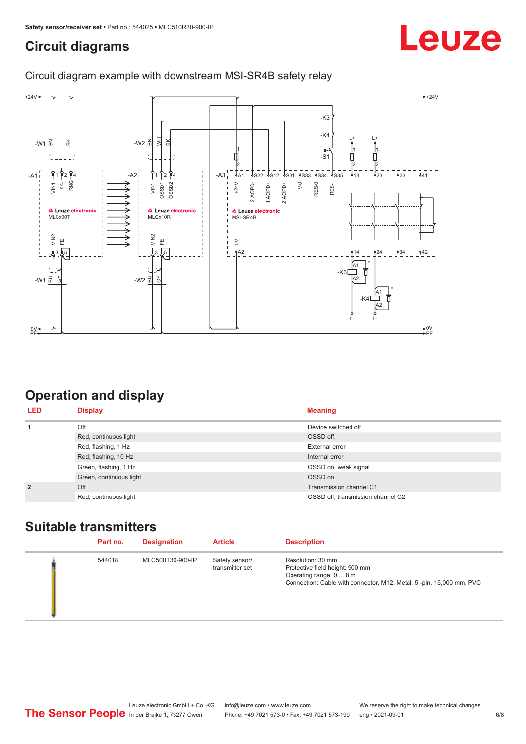## <span id="page-5-0"></span>**Circuit diagrams**

## Leuze

#### Circuit diagram example with downstream MSI-SR4B safety relay



## **Operation and display**

| <b>LED</b>     | <b>Display</b>          | <b>Meaning</b>                    |
|----------------|-------------------------|-----------------------------------|
| 1              | Off                     | Device switched off               |
|                | Red, continuous light   | OSSD off.                         |
|                | Red, flashing, 1 Hz     | External error                    |
|                | Red, flashing, 10 Hz    | Internal error                    |
|                | Green, flashing, 1 Hz   | OSSD on, weak signal              |
|                | Green, continuous light | OSSD on                           |
| $\overline{2}$ | Off                     | Transmission channel C1           |
|                | Red, continuous light   | OSSD off, transmission channel C2 |

### **Suitable transmitters**

| Part no. | <b>Designation</b> | <b>Article</b>                    | <b>Description</b>                                                                                                                                     |
|----------|--------------------|-----------------------------------|--------------------------------------------------------------------------------------------------------------------------------------------------------|
| 544018   | MLC500T30-900-IP   | Safety sensor/<br>transmitter set | Resolution: 30 mm<br>Protective field height: 900 mm<br>Operating range: 0  8 m<br>Connection: Cable with connector, M12, Metal, 5-pin, 15,000 mm, PVC |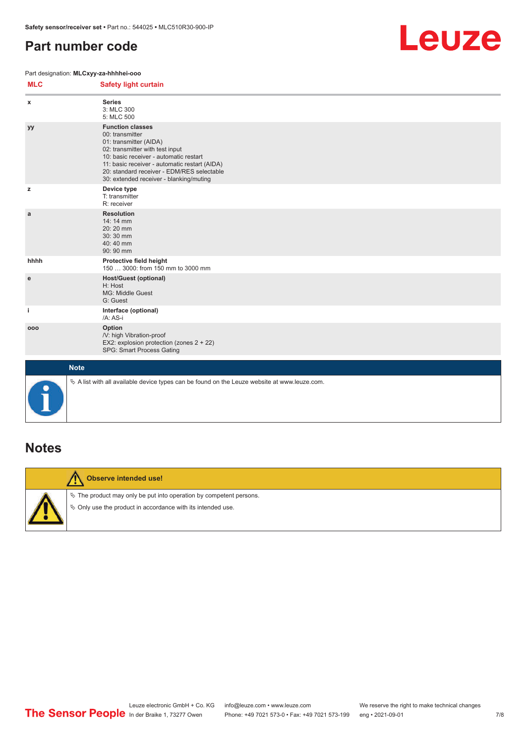## <span id="page-6-0"></span>**Part number code**

#### Part designation: **MLCxyy-za-hhhhei-ooo**



| <b>MLC</b> | <b>Safety light curtain</b>                                                                                                                                                                                                                                                                 |
|------------|---------------------------------------------------------------------------------------------------------------------------------------------------------------------------------------------------------------------------------------------------------------------------------------------|
| x          | <b>Series</b><br>3: MLC 300<br>5: MLC 500                                                                                                                                                                                                                                                   |
| yy         | <b>Function classes</b><br>00: transmitter<br>01: transmitter (AIDA)<br>02: transmitter with test input<br>10: basic receiver - automatic restart<br>11: basic receiver - automatic restart (AIDA)<br>20: standard receiver - EDM/RES selectable<br>30: extended receiver - blanking/muting |
| z          | Device type<br>T: transmitter<br>R: receiver                                                                                                                                                                                                                                                |
| a          | <b>Resolution</b><br>14: 14 mm<br>$20:20$ mm<br>30:30 mm<br>40:40 mm<br>90: 90 mm                                                                                                                                                                                                           |
| hhhh       | Protective field height<br>150  3000: from 150 mm to 3000 mm                                                                                                                                                                                                                                |
| е          | <b>Host/Guest (optional)</b><br>H: Host<br>MG: Middle Guest<br>G: Guest                                                                                                                                                                                                                     |
| j.         | Interface (optional)<br>/A: AS-i                                                                                                                                                                                                                                                            |
| 000        | Option<br>/V: high Vibration-proof<br>EX2: explosion protection (zones 2 + 22)<br>SPG: Smart Process Gating                                                                                                                                                                                 |
|            | <b>Note</b>                                                                                                                                                                                                                                                                                 |
| 0          | $\&$ A list with all available device types can be found on the Leuze website at www.leuze.com.                                                                                                                                                                                             |

### **Notes**



#### **Observe intended use!**

 $\%$  The product may only be put into operation by competent persons.

 $\%$  Only use the product in accordance with its intended use.